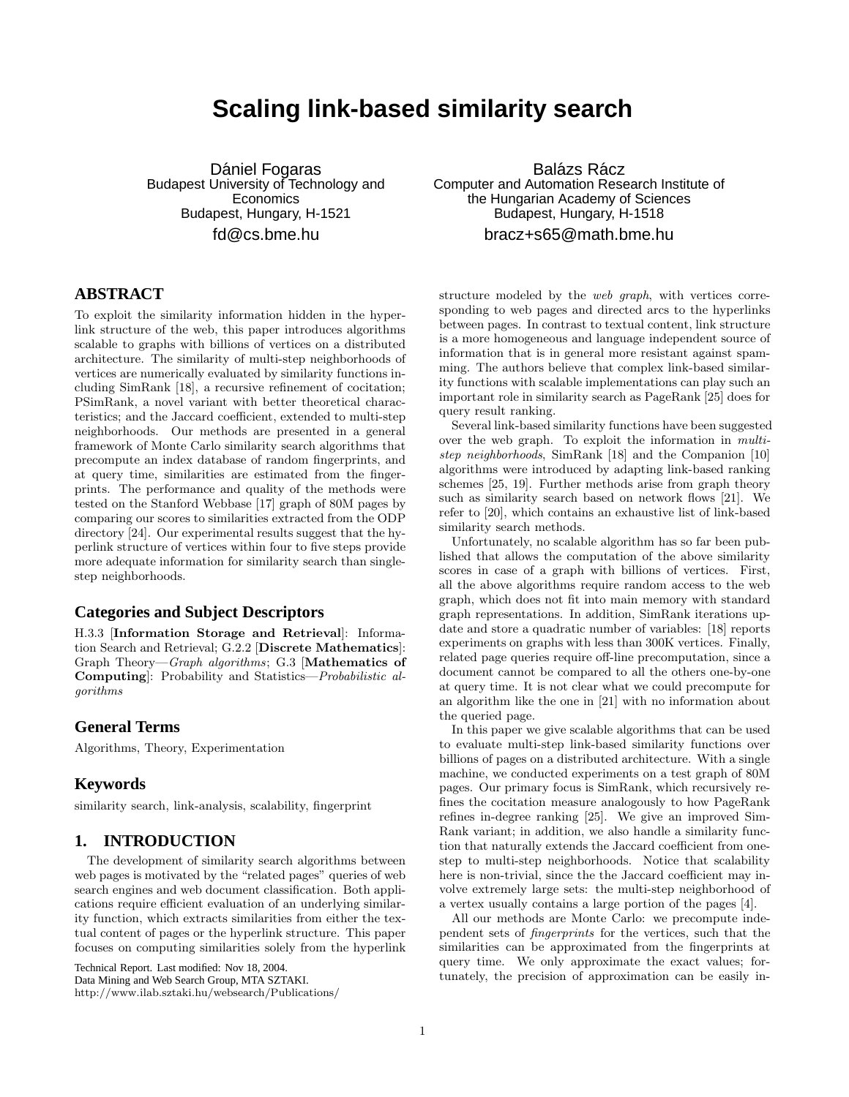# **Scaling link-based similarity search**

Dániel Fogaras Budapest University of Technology and **Economics** Budapest, Hungary, H-1521 fd@cs.bme.hu

# **ABSTRACT**

To exploit the similarity information hidden in the hyperlink structure of the web, this paper introduces algorithms scalable to graphs with billions of vertices on a distributed architecture. The similarity of multi-step neighborhoods of vertices are numerically evaluated by similarity functions including SimRank [18], a recursive refinement of cocitation; PSimRank, a novel variant with better theoretical characteristics; and the Jaccard coefficient, extended to multi-step neighborhoods. Our methods are presented in a general framework of Monte Carlo similarity search algorithms that precompute an index database of random fingerprints, and at query time, similarities are estimated from the fingerprints. The performance and quality of the methods were tested on the Stanford Webbase [17] graph of 80M pages by comparing our scores to similarities extracted from the ODP directory [24]. Our experimental results suggest that the hyperlink structure of vertices within four to five steps provide more adequate information for similarity search than singlestep neighborhoods.

# **Categories and Subject Descriptors**

H.3.3 [Information Storage and Retrieval]: Information Search and Retrieval; G.2.2 [Discrete Mathematics]: Graph Theory—Graph algorithms; G.3 [Mathematics of Computing]: Probability and Statistics—Probabilistic algorithms

# **General Terms**

Algorithms, Theory, Experimentation

# **Keywords**

similarity search, link-analysis, scalability, fingerprint

# **1. INTRODUCTION**

The development of similarity search algorithms between web pages is motivated by the "related pages" queries of web search engines and web document classification. Both applications require efficient evaluation of an underlying similarity function, which extracts similarities from either the textual content of pages or the hyperlink structure. This paper focuses on computing similarities solely from the hyperlink

Technical Report. Last modified: Nov 18, 2004. Data Mining and Web Search Group, MTA SZTAKI. http://www.ilab.sztaki.hu/websearch/Publications/

Balázs Rácz Computer and Automation Research Institute of the Hungarian Academy of Sciences Budapest, Hungary, H-1518 bracz+s65@math.bme.hu

structure modeled by the web graph, with vertices corresponding to web pages and directed arcs to the hyperlinks between pages. In contrast to textual content, link structure is a more homogeneous and language independent source of information that is in general more resistant against spamming. The authors believe that complex link-based similarity functions with scalable implementations can play such an important role in similarity search as PageRank [25] does for query result ranking.

Several link-based similarity functions have been suggested over the web graph. To exploit the information in multistep neighborhoods, SimRank [18] and the Companion [10] algorithms were introduced by adapting link-based ranking schemes [25, 19]. Further methods arise from graph theory such as similarity search based on network flows [21]. We refer to [20], which contains an exhaustive list of link-based similarity search methods.

Unfortunately, no scalable algorithm has so far been published that allows the computation of the above similarity scores in case of a graph with billions of vertices. First, all the above algorithms require random access to the web graph, which does not fit into main memory with standard graph representations. In addition, SimRank iterations update and store a quadratic number of variables: [18] reports experiments on graphs with less than 300K vertices. Finally, related page queries require off-line precomputation, since a document cannot be compared to all the others one-by-one at query time. It is not clear what we could precompute for an algorithm like the one in [21] with no information about the queried page.

In this paper we give scalable algorithms that can be used to evaluate multi-step link-based similarity functions over billions of pages on a distributed architecture. With a single machine, we conducted experiments on a test graph of 80M pages. Our primary focus is SimRank, which recursively refines the cocitation measure analogously to how PageRank refines in-degree ranking [25]. We give an improved Sim-Rank variant; in addition, we also handle a similarity function that naturally extends the Jaccard coefficient from onestep to multi-step neighborhoods. Notice that scalability here is non-trivial, since the the Jaccard coefficient may involve extremely large sets: the multi-step neighborhood of a vertex usually contains a large portion of the pages [4].

All our methods are Monte Carlo: we precompute independent sets of fingerprints for the vertices, such that the similarities can be approximated from the fingerprints at query time. We only approximate the exact values; fortunately, the precision of approximation can be easily in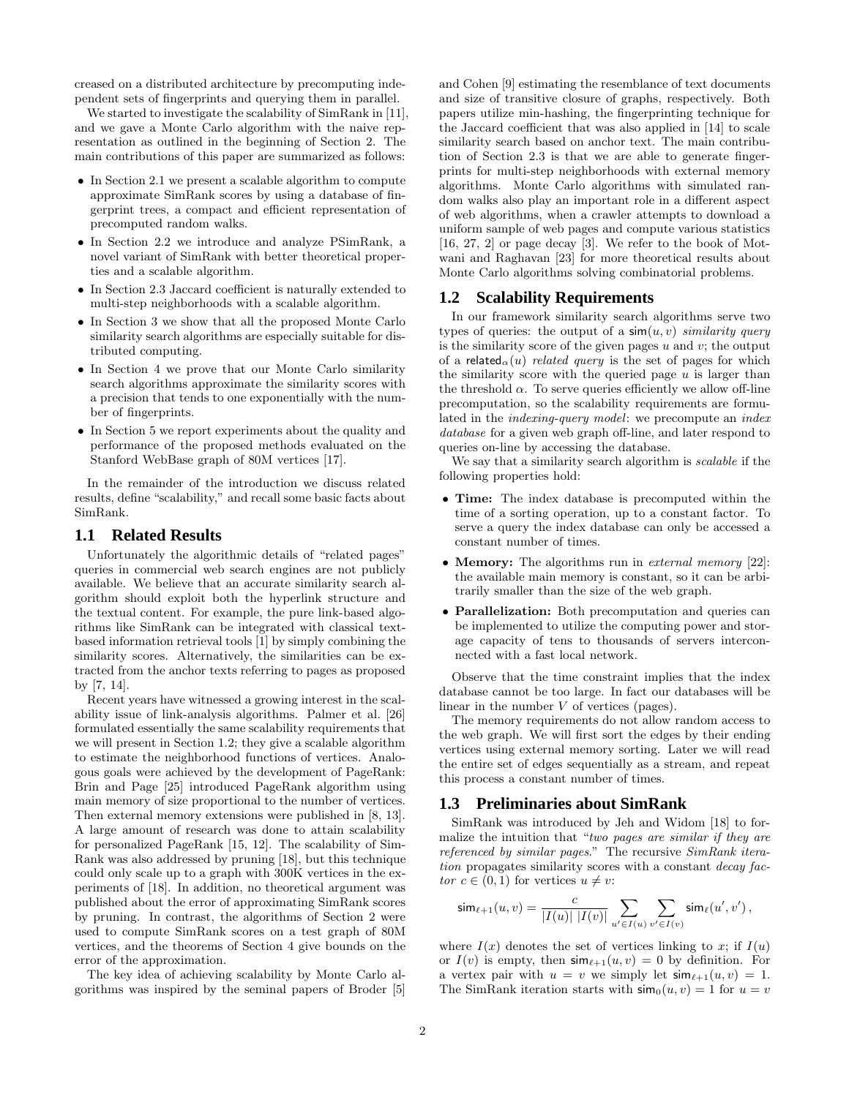creased on a distributed architecture by precomputing independent sets of fingerprints and querying them in parallel.

We started to investigate the scalability of SimRank in [11], and we gave a Monte Carlo algorithm with the naive representation as outlined in the beginning of Section 2. The main contributions of this paper are summarized as follows:

- In Section 2.1 we present a scalable algorithm to compute approximate SimRank scores by using a database of fingerprint trees, a compact and efficient representation of precomputed random walks.
- In Section 2.2 we introduce and analyze PSimRank, a novel variant of SimRank with better theoretical properties and a scalable algorithm.
- In Section 2.3 Jaccard coefficient is naturally extended to multi-step neighborhoods with a scalable algorithm.
- In Section 3 we show that all the proposed Monte Carlo similarity search algorithms are especially suitable for distributed computing.
- In Section 4 we prove that our Monte Carlo similarity search algorithms approximate the similarity scores with a precision that tends to one exponentially with the number of fingerprints.
- In Section 5 we report experiments about the quality and performance of the proposed methods evaluated on the Stanford WebBase graph of 80M vertices [17].

In the remainder of the introduction we discuss related results, define "scalability," and recall some basic facts about SimRank.

#### **1.1 Related Results**

Unfortunately the algorithmic details of "related pages" queries in commercial web search engines are not publicly available. We believe that an accurate similarity search algorithm should exploit both the hyperlink structure and the textual content. For example, the pure link-based algorithms like SimRank can be integrated with classical textbased information retrieval tools [1] by simply combining the similarity scores. Alternatively, the similarities can be extracted from the anchor texts referring to pages as proposed by [7, 14].

Recent years have witnessed a growing interest in the scalability issue of link-analysis algorithms. Palmer et al. [26] formulated essentially the same scalability requirements that we will present in Section 1.2; they give a scalable algorithm to estimate the neighborhood functions of vertices. Analogous goals were achieved by the development of PageRank: Brin and Page [25] introduced PageRank algorithm using main memory of size proportional to the number of vertices. Then external memory extensions were published in [8, 13]. A large amount of research was done to attain scalability for personalized PageRank [15, 12]. The scalability of Sim-Rank was also addressed by pruning [18], but this technique could only scale up to a graph with 300K vertices in the experiments of [18]. In addition, no theoretical argument was published about the error of approximating SimRank scores by pruning. In contrast, the algorithms of Section 2 were used to compute SimRank scores on a test graph of 80M vertices, and the theorems of Section 4 give bounds on the error of the approximation.

The key idea of achieving scalability by Monte Carlo algorithms was inspired by the seminal papers of Broder [5] and Cohen [9] estimating the resemblance of text documents and size of transitive closure of graphs, respectively. Both papers utilize min-hashing, the fingerprinting technique for the Jaccard coefficient that was also applied in [14] to scale similarity search based on anchor text. The main contribution of Section 2.3 is that we are able to generate fingerprints for multi-step neighborhoods with external memory algorithms. Monte Carlo algorithms with simulated random walks also play an important role in a different aspect of web algorithms, when a crawler attempts to download a uniform sample of web pages and compute various statistics [16, 27, 2] or page decay [3]. We refer to the book of Motwani and Raghavan [23] for more theoretical results about Monte Carlo algorithms solving combinatorial problems.

#### **1.2 Scalability Requirements**

In our framework similarity search algorithms serve two types of queries: the output of a  $\sin(u, v)$  similarity query is the similarity score of the given pages  $u$  and  $v$ ; the output of a related<sub>α</sub>(u) related query is the set of pages for which the similarity score with the queried page  $u$  is larger than the threshold  $\alpha$ . To serve queries efficiently we allow off-line precomputation, so the scalability requirements are formulated in the indexing-query model: we precompute an index database for a given web graph off-line, and later respond to queries on-line by accessing the database.

We say that a similarity search algorithm is *scalable* if the following properties hold:

- Time: The index database is precomputed within the time of a sorting operation, up to a constant factor. To serve a query the index database can only be accessed a constant number of times.
- Memory: The algorithms run in external memory [22]: the available main memory is constant, so it can be arbitrarily smaller than the size of the web graph.
- Parallelization: Both precomputation and queries can be implemented to utilize the computing power and storage capacity of tens to thousands of servers interconnected with a fast local network.

Observe that the time constraint implies that the index database cannot be too large. In fact our databases will be linear in the number  $V$  of vertices (pages).

The memory requirements do not allow random access to the web graph. We will first sort the edges by their ending vertices using external memory sorting. Later we will read the entire set of edges sequentially as a stream, and repeat this process a constant number of times.

# **1.3 Preliminaries about SimRank**

SimRank was introduced by Jeh and Widom [18] to formalize the intuition that "two pages are similar if they are referenced by similar pages." The recursive SimRank iteration propagates similarity scores with a constant decay factor  $c \in (0,1)$  for vertices  $u \neq v$ :

$$
\mathsf{sim}_{\ell+1}(u,v) = \frac{c}{|I(u)|\ |I(v)|} \sum_{u' \in I(u)} \sum_{v' \in I(v)} \mathsf{sim}_\ell(u',v')\,,
$$

where  $I(x)$  denotes the set of vertices linking to x; if  $I(u)$ or  $I(v)$  is empty, then  $\sin_{\ell+1}(u, v) = 0$  by definition. For a vertex pair with  $u = v$  we simply let  $\sin_{\ell+1}(u, v) = 1$ . The SimRank iteration starts with  $\sinh(u, v) = 1$  for  $u = v$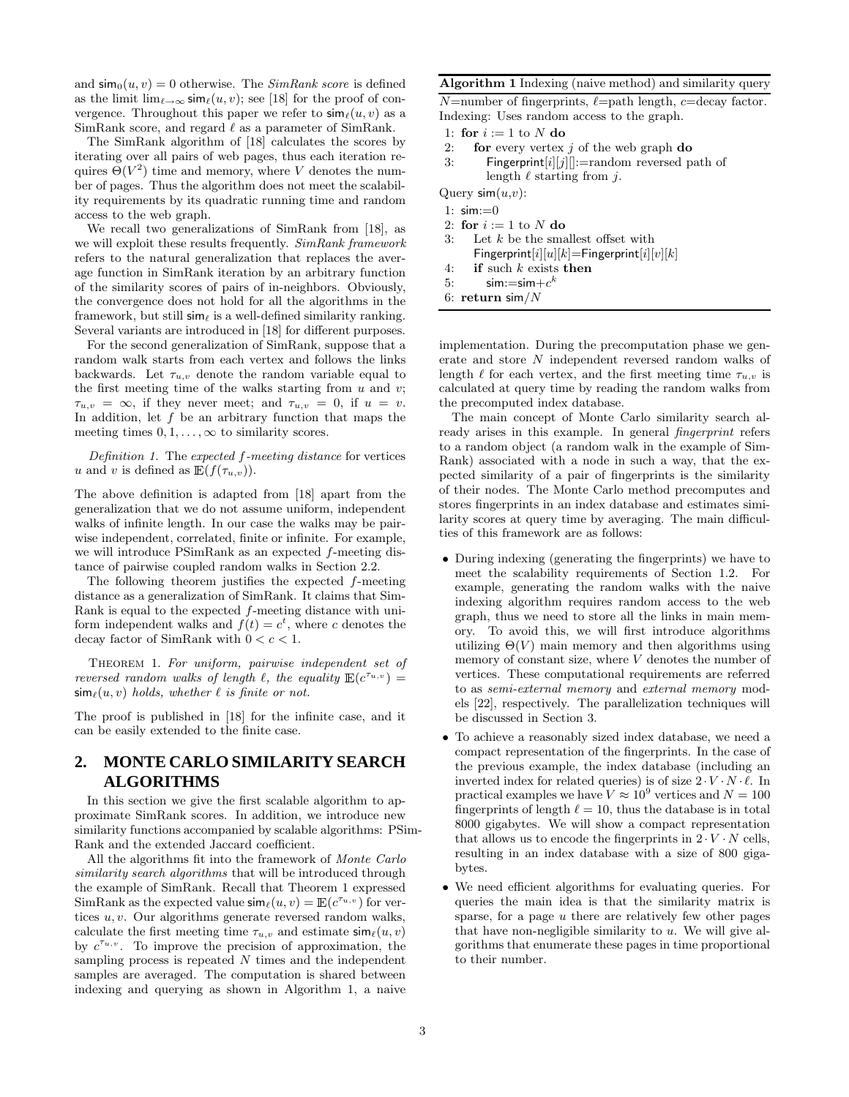and  $\sinh(u, v) = 0$  otherwise. The *SimRank score* is defined as the limit  $\lim_{\ell\to\infty}$  sim $_{\ell}(u, v)$ ; see [18] for the proof of convergence. Throughout this paper we refer to  $\sin((u, v))$  as a SimRank score, and regard  $\ell$  as a parameter of SimRank.

The SimRank algorithm of [18] calculates the scores by iterating over all pairs of web pages, thus each iteration requires  $\Theta(V^2)$  time and memory, where V denotes the number of pages. Thus the algorithm does not meet the scalability requirements by its quadratic running time and random access to the web graph.

We recall two generalizations of SimRank from [18], as we will exploit these results frequently. SimRank framework refers to the natural generalization that replaces the average function in SimRank iteration by an arbitrary function of the similarity scores of pairs of in-neighbors. Obviously, the convergence does not hold for all the algorithms in the framework, but still  $\sin \theta$  is a well-defined similarity ranking. Several variants are introduced in [18] for different purposes.

For the second generalization of SimRank, suppose that a random walk starts from each vertex and follows the links backwards. Let  $\tau_{u,v}$  denote the random variable equal to the first meeting time of the walks starting from  $u$  and  $v$ ;  $\tau_{u,v} = \infty$ , if they never meet; and  $\tau_{u,v} = 0$ , if  $u = v$ . In addition, let  $f$  be an arbitrary function that maps the meeting times  $0, 1, \ldots, \infty$  to similarity scores.

Definition 1. The expected f-meeting distance for vertices u and v is defined as  $\mathbb{E}(f(\tau_{u,v}))$ .

The above definition is adapted from [18] apart from the generalization that we do not assume uniform, independent walks of infinite length. In our case the walks may be pairwise independent, correlated, finite or infinite. For example, we will introduce PSimRank as an expected f-meeting distance of pairwise coupled random walks in Section 2.2.

The following theorem justifies the expected f-meeting distance as a generalization of SimRank. It claims that Sim-Rank is equal to the expected f-meeting distance with uniform independent walks and  $f(t) = c^t$ , where c denotes the decay factor of SimRank with  $0 < c < 1$ .

Theorem 1. For uniform, pairwise independent set of reversed random walks of length  $\ell$ , the equality  $\mathbb{E}(c^{\tau_{u,v}}) =$  $\sin(\mu, v)$  holds, whether  $\ell$  is finite or not.

The proof is published in [18] for the infinite case, and it can be easily extended to the finite case.

# **2. MONTE CARLO SIMILARITY SEARCH ALGORITHMS**

In this section we give the first scalable algorithm to approximate SimRank scores. In addition, we introduce new similarity functions accompanied by scalable algorithms: PSim-Rank and the extended Jaccard coefficient.

All the algorithms fit into the framework of Monte Carlo similarity search algorithms that will be introduced through the example of SimRank. Recall that Theorem 1 expressed SimRank as the expected value  $\mathsf{sim}_{\ell}(u, v) = \mathbb{E}(c^{\tau_{u, v}})$  for vertices  $u, v$ . Our algorithms generate reversed random walks, calculate the first meeting time  $\tau_{u,v}$  and estimate  $\sin(\mu, v)$ by  $c^{\tau_{u,v}}$ . To improve the precision of approximation, the sampling process is repeated N times and the independent samples are averaged. The computation is shared between indexing and querying as shown in Algorithm 1, a naive

#### Algorithm 1 Indexing (naive method) and similarity query

 $N$ =number of fingerprints,  $\ell$ =path length,  $c=$ decay factor. Indexing: Uses random access to the graph.

1: for  $i := 1$  to N do

- 2: **for** every vertex  $j$  of the web graph **do**
- 3: Fingerprint $[i][j]]$ :=random reversed path of length  $\ell$  starting from j.

Query  $\operatorname{\mathsf{sim}}(u,v)$ :

1: sim:=0

- 2: for  $i := 1$  to N do
- 3: Let  $k$  be the smallest offset with Fingerprint $[i][u][k]=$ Fingerprint $[i][v][k]$
- 4: if such  $k$  exists then
- 5:  $\mathsf{sim}:=\mathsf{sim}+c^k$
- 6: return sim/ $N$

implementation. During the precomputation phase we generate and store N independent reversed random walks of length  $\ell$  for each vertex, and the first meeting time  $\tau_{u,v}$  is calculated at query time by reading the random walks from the precomputed index database.

The main concept of Monte Carlo similarity search already arises in this example. In general fingerprint refers to a random object (a random walk in the example of Sim-Rank) associated with a node in such a way, that the expected similarity of a pair of fingerprints is the similarity of their nodes. The Monte Carlo method precomputes and stores fingerprints in an index database and estimates similarity scores at query time by averaging. The main difficulties of this framework are as follows:

- During indexing (generating the fingerprints) we have to meet the scalability requirements of Section 1.2. For example, generating the random walks with the naive indexing algorithm requires random access to the web graph, thus we need to store all the links in main memory. To avoid this, we will first introduce algorithms utilizing  $\Theta(V)$  main memory and then algorithms using memory of constant size, where  $V$  denotes the number of vertices. These computational requirements are referred to as semi-external memory and external memory models [22], respectively. The parallelization techniques will be discussed in Section 3.
- To achieve a reasonably sized index database, we need a compact representation of the fingerprints. In the case of the previous example, the index database (including an inverted index for related queries) is of size  $2 \cdot V \cdot N \cdot \ell$ . In practical examples we have  $V \approx 10^9$  vertices and  $N = 100$ fingerprints of length  $\ell = 10$ , thus the database is in total 8000 gigabytes. We will show a compact representation that allows us to encode the fingerprints in  $2 \cdot V \cdot N$  cells, resulting in an index database with a size of 800 gigabytes.
- We need efficient algorithms for evaluating queries. For queries the main idea is that the similarity matrix is sparse, for a page  $u$  there are relatively few other pages that have non-negligible similarity to  $u$ . We will give algorithms that enumerate these pages in time proportional to their number.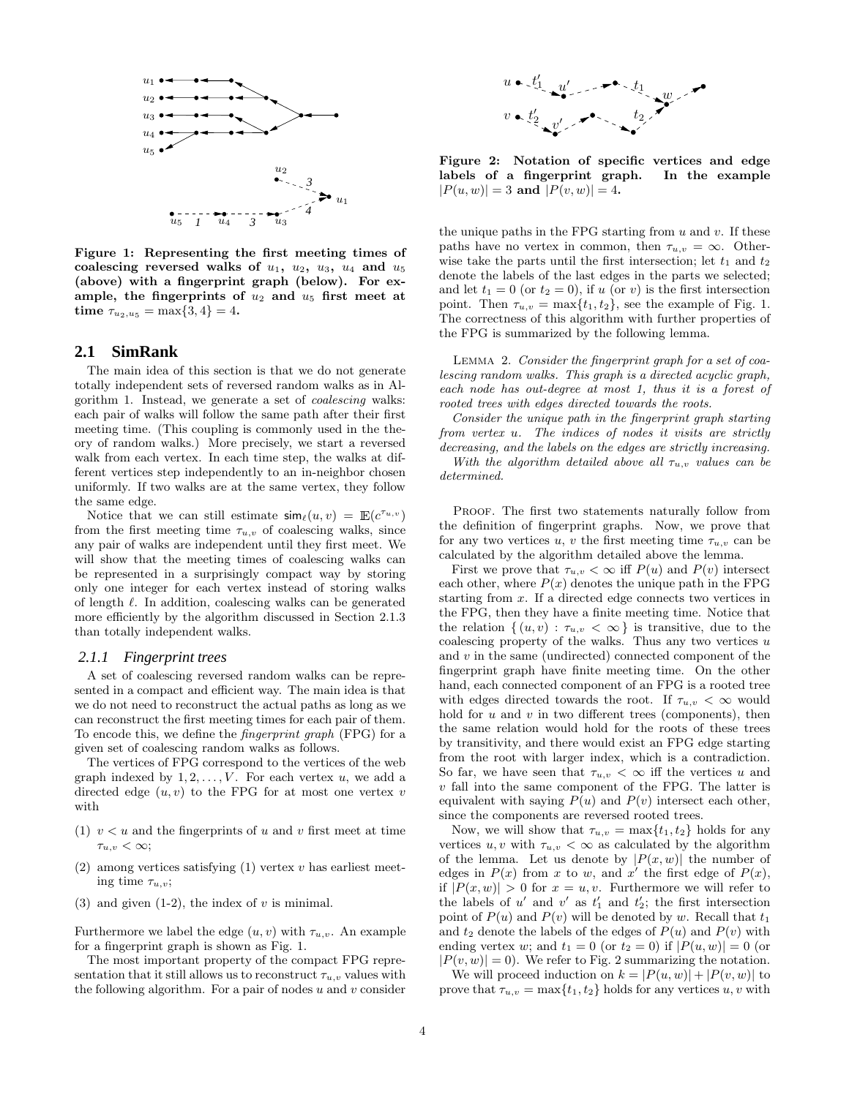

Figure 1: Representing the first meeting times of coalescing reversed walks of  $u_1$ ,  $u_2$ ,  $u_3$ ,  $u_4$  and  $u_5$ (above) with a fingerprint graph (below). For example, the fingerprints of  $u_2$  and  $u_5$  first meet at time  $\tau_{u_2,u_5} = \max\{3,4\} = 4$ .

#### **2.1 SimRank**

The main idea of this section is that we do not generate totally independent sets of reversed random walks as in Algorithm 1. Instead, we generate a set of coalescing walks: each pair of walks will follow the same path after their first meeting time. (This coupling is commonly used in the theory of random walks.) More precisely, we start a reversed walk from each vertex. In each time step, the walks at different vertices step independently to an in-neighbor chosen uniformly. If two walks are at the same vertex, they follow the same edge.

Notice that we can still estimate  $\sin\theta(u, v) = \mathbb{E}(c^{\tau_{u,v}})$ from the first meeting time  $\tau_{u,v}$  of coalescing walks, since any pair of walks are independent until they first meet. We will show that the meeting times of coalescing walks can be represented in a surprisingly compact way by storing only one integer for each vertex instead of storing walks of length  $\ell$ . In addition, coalescing walks can be generated more efficiently by the algorithm discussed in Section 2.1.3 than totally independent walks.

#### *2.1.1 Fingerprint trees*

A set of coalescing reversed random walks can be represented in a compact and efficient way. The main idea is that we do not need to reconstruct the actual paths as long as we can reconstruct the first meeting times for each pair of them. To encode this, we define the fingerprint graph (FPG) for a given set of coalescing random walks as follows.

The vertices of FPG correspond to the vertices of the web graph indexed by  $1, 2, \ldots, V$ . For each vertex u, we add a directed edge  $(u, v)$  to the FPG for at most one vertex v with

- (1)  $v < u$  and the fingerprints of u and v first meet at time  $\tau_{u,v} < \infty;$
- (2) among vertices satisfying  $(1)$  vertex v has earliest meeting time  $\tau_{u,v}$ ;
- (3) and given  $(1-2)$ , the index of v is minimal.

Furthermore we label the edge  $(u, v)$  with  $\tau_{u,v}$ . An example for a fingerprint graph is shown as Fig. 1.

The most important property of the compact FPG representation that it still allows us to reconstruct  $\tau_{u,v}$  values with the following algorithm. For a pair of nodes  $u$  and  $v$  consider



Figure 2: Notation of specific vertices and edge labels of a fingerprint graph. In the example  $|P(u, w)| = 3$  and  $|P(v, w)| = 4$ .

the unique paths in the FPG starting from  $u$  and  $v$ . If these paths have no vertex in common, then  $\tau_{u,v} = \infty$ . Otherwise take the parts until the first intersection; let  $t_1$  and  $t_2$ denote the labels of the last edges in the parts we selected; and let  $t_1 = 0$  (or  $t_2 = 0$ ), if u (or v) is the first intersection point. Then  $\tau_{u,v} = \max\{t_1, t_2\}$ , see the example of Fig. 1. The correctness of this algorithm with further properties of the FPG is summarized by the following lemma.

Lemma 2. Consider the fingerprint graph for a set of coalescing random walks. This graph is a directed acyclic graph, each node has out-degree at most 1, thus it is a forest of rooted trees with edges directed towards the roots.

Consider the unique path in the fingerprint graph starting from vertex u. The indices of nodes it visits are strictly decreasing, and the labels on the edges are strictly increasing. With the algorithm detailed above all  $\tau_{u,v}$  values can be determined.

PROOF. The first two statements naturally follow from the definition of fingerprint graphs. Now, we prove that for any two vertices u, v the first meeting time  $\tau_{u,v}$  can be calculated by the algorithm detailed above the lemma.

First we prove that  $\tau_{u,v} < \infty$  iff  $P(u)$  and  $P(v)$  intersect each other, where  $P(x)$  denotes the unique path in the FPG starting from x. If a directed edge connects two vertices in the FPG, then they have a finite meeting time. Notice that the relation  $\{(u, v) : \tau_{u,v} < \infty\}$  is transitive, due to the coalescing property of the walks. Thus any two vertices  $u$ and  $v$  in the same (undirected) connected component of the fingerprint graph have finite meeting time. On the other hand, each connected component of an FPG is a rooted tree with edges directed towards the root. If  $\tau_{u,v} < \infty$  would hold for  $u$  and  $v$  in two different trees (components), then the same relation would hold for the roots of these trees by transitivity, and there would exist an FPG edge starting from the root with larger index, which is a contradiction. So far, we have seen that  $\tau_{u,v} < \infty$  iff the vertices u and v fall into the same component of the FPG. The latter is equivalent with saying  $P(u)$  and  $P(v)$  intersect each other, since the components are reversed rooted trees.

Now, we will show that  $\tau_{u,v} = \max\{t_1, t_2\}$  holds for any vertices  $u, v$  with  $\tau_{u,v} < \infty$  as calculated by the algorithm of the lemma. Let us denote by  $|P(x, w)|$  the number of edges in  $P(x)$  from x to w, and x' the first edge of  $P(x)$ , if  $|P(x, w)| > 0$  for  $x = u, v$ . Furthermore we will refer to the labels of  $u'$  and  $v'$  as  $t'_1$  and  $t'_2$ ; the first intersection point of  $P(u)$  and  $P(v)$  will be denoted by w. Recall that  $t_1$ and  $t_2$  denote the labels of the edges of  $P(u)$  and  $P(v)$  with ending vertex w; and  $t_1 = 0$  (or  $t_2 = 0$ ) if  $|P(u, w)| = 0$  (or  $|P(v, w)| = 0$ . We refer to Fig. 2 summarizing the notation.

We will proceed induction on  $k = |P(u, w)| + |P(v, w)|$  to prove that  $\tau_{u,v} = \max\{t_1, t_2\}$  holds for any vertices  $u, v$  with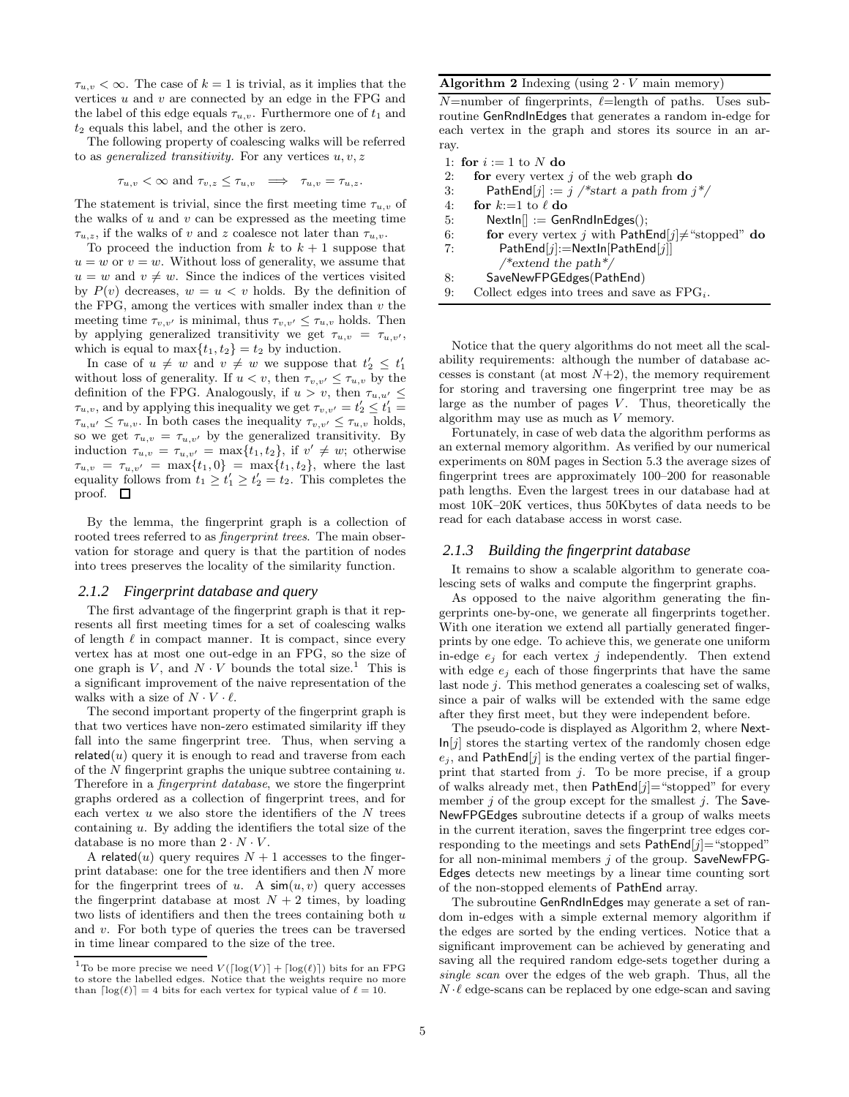$\tau_{u,v} < \infty$ . The case of  $k = 1$  is trivial, as it implies that the vertices  $u$  and  $v$  are connected by an edge in the FPG and the label of this edge equals  $\tau_{u,v}$ . Furthermore one of  $t_1$  and  $t_2$  equals this label, and the other is zero.

The following property of coalescing walks will be referred to as *generalized transitivity*. For any vertices  $u, v, z$ 

$$
\tau_{u,v} < \infty \text{ and } \tau_{v,z} \leq \tau_{u,v} \implies \tau_{u,v} = \tau_{u,z}.
$$

The statement is trivial, since the first meeting time  $\tau_{u,v}$  of the walks of  $u$  and  $v$  can be expressed as the meeting time  $\tau_{u,z}$ , if the walks of v and z coalesce not later than  $\tau_{u,v}$ .

To proceed the induction from  $k$  to  $k + 1$  suppose that  $u = w$  or  $v = w$ . Without loss of generality, we assume that  $u = w$  and  $v \neq w$ . Since the indices of the vertices visited by  $P(v)$  decreases,  $w = u < v$  holds. By the definition of the FPG, among the vertices with smaller index than  $v$  the meeting time  $\tau_{v,v'}$  is minimal, thus  $\tau_{v,v'} \leq \tau_{u,v}$  holds. Then by applying generalized transitivity we get  $\tau_{u,v} = \tau_{u,v'}$ , which is equal to  $\max\{t_1, t_2\} = t_2$  by induction.

In case of  $u \neq w$  and  $v \neq w$  we suppose that  $t'_2 \leq t'_1$ without loss of generality. If  $u < v$ , then  $\tau_{v,v'} \leq \tau_{u,v}$  by the definition of the FPG. Analogously, if  $u > v$ , then  $\tau_{u,u'} \leq$  $\tau_{u,v}$ , and by applying this inequality we get  $\tau_{v,v'} = t'_2 \leq t'_1 =$  $\tau_{u,u'} \leq \tau_{u,v}$ . In both cases the inequality  $\tau_{v,v'} \leq \tau_{u,v}$  holds, so we get  $\tau_{u,v} = \tau_{u,v'}$  by the generalized transitivity. By induction  $\tau_{u,v} = \tau_{u,v'} = \max\{t_1, t_2\}$ , if  $v' \neq w$ ; otherwise  $\tau_{u,v} = \tau_{u,v'} = \max\{t_1, 0\} = \max\{t_1, t_2\}$ , where the last equality follows from  $t_1 \geq t_1' \geq t_2' = t_2$ . This completes the proof.  $\square$ 

By the lemma, the fingerprint graph is a collection of rooted trees referred to as *fingerprint trees*. The main observation for storage and query is that the partition of nodes into trees preserves the locality of the similarity function.

#### *2.1.2 Fingerprint database and query*

The first advantage of the fingerprint graph is that it represents all first meeting times for a set of coalescing walks of length  $\ell$  in compact manner. It is compact, since every vertex has at most one out-edge in an FPG, so the size of one graph is  $V$ , and  $N \cdot V$  bounds the total size.<sup>1</sup> This is a significant improvement of the naive representation of the walks with a size of  $N \cdot V \cdot \ell$ .

The second important property of the fingerprint graph is that two vertices have non-zero estimated similarity iff they fall into the same fingerprint tree. Thus, when serving a  $related(u)$  query it is enough to read and traverse from each of the  $N$  fingerprint graphs the unique subtree containing  $u$ . Therefore in a fingerprint database, we store the fingerprint graphs ordered as a collection of fingerprint trees, and for each vertex  $u$  we also store the identifiers of the  $N$  trees containing  $u$ . By adding the identifiers the total size of the database is no more than  $2 \cdot N \cdot V$ .

A related(u) query requires  $N + 1$  accesses to the fingerprint database: one for the tree identifiers and then N more for the fingerprint trees of u. A  $\sin(u, v)$  query accesses the fingerprint database at most  $N + 2$  times, by loading two lists of identifiers and then the trees containing both  $u$ and  $v$ . For both type of queries the trees can be traversed in time linear compared to the size of the tree.

#### Algorithm 2 Indexing  $(u\sin g 2 \cdot V \sin m)$  memory)

 $N=$ number of fingerprints,  $\ell=$ length of paths. Uses subroutine GenRndInEdges that generates a random in-edge for each vertex in the graph and stores its source in an array.

- 1: for  $i := 1$  to N do
- 2: for every vertex  $j$  of the web graph do
- 3: PathEnd[j] := j /\*start a path from  $j*/$
- 4: for  $k:=1$  to  $\ell$  do
- 5:  $NextIn[] := GenRndInEdges();$
- 6: **for** every vertex j with PathEnd $[j] \neq$  "stopped" do
- 7: PathEnd[j]:=NextIn[PathEnd[j]] /\*extend the path\*/
- 8: SaveNewFPGEdges(PathEnd)
- 9: Collect edges into trees and save as  $FPG_i$ .

Notice that the query algorithms do not meet all the scalability requirements: although the number of database accesses is constant (at most  $N+2$ ), the memory requirement for storing and traversing one fingerprint tree may be as large as the number of pages  $V$ . Thus, theoretically the algorithm may use as much as V memory.

Fortunately, in case of web data the algorithm performs as an external memory algorithm. As verified by our numerical experiments on 80M pages in Section 5.3 the average sizes of fingerprint trees are approximately 100–200 for reasonable path lengths. Even the largest trees in our database had at most 10K–20K vertices, thus 50Kbytes of data needs to be read for each database access in worst case.

#### *2.1.3 Building the fingerprint database*

It remains to show a scalable algorithm to generate coalescing sets of walks and compute the fingerprint graphs.

As opposed to the naive algorithm generating the fingerprints one-by-one, we generate all fingerprints together. With one iteration we extend all partially generated fingerprints by one edge. To achieve this, we generate one uniform in-edge  $e_i$  for each vertex j independently. Then extend with edge  $e_j$  each of those fingerprints that have the same last node j. This method generates a coalescing set of walks, since a pair of walks will be extended with the same edge after they first meet, but they were independent before.

The pseudo-code is displayed as Algorithm 2, where Next- $\ln[j]$  stores the starting vertex of the randomly chosen edge  $e_j$ , and PathEnd[j] is the ending vertex of the partial fingerprint that started from  $j$ . To be more precise, if a group of walks already met, then  $PathEnd[j]=$ "stopped" for every member  $j$  of the group except for the smallest  $j$ . The Save-NewFPGEdges subroutine detects if a group of walks meets in the current iteration, saves the fingerprint tree edges corresponding to the meetings and sets  $PathEnd[j]= "stopped"$ for all non-minimal members  $j$  of the group. SaveNewFPG-Edges detects new meetings by a linear time counting sort of the non-stopped elements of PathEnd array.

The subroutine GenRndInEdges may generate a set of random in-edges with a simple external memory algorithm if the edges are sorted by the ending vertices. Notice that a significant improvement can be achieved by generating and saving all the required random edge-sets together during a single scan over the edges of the web graph. Thus, all the  $N \cdot \ell$  edge-scans can be replaced by one edge-scan and saving

 $^1\text{To be more precise we need }V(\lceil \log(V) \rceil + \lceil \log(\ell) \rceil)$  bits for an FPG to store the labelled edges. Notice that the weights require no more than  $\lceil \log(\ell) \rceil = 4$  bits for each vertex for typical value of  $\ell = 10$ .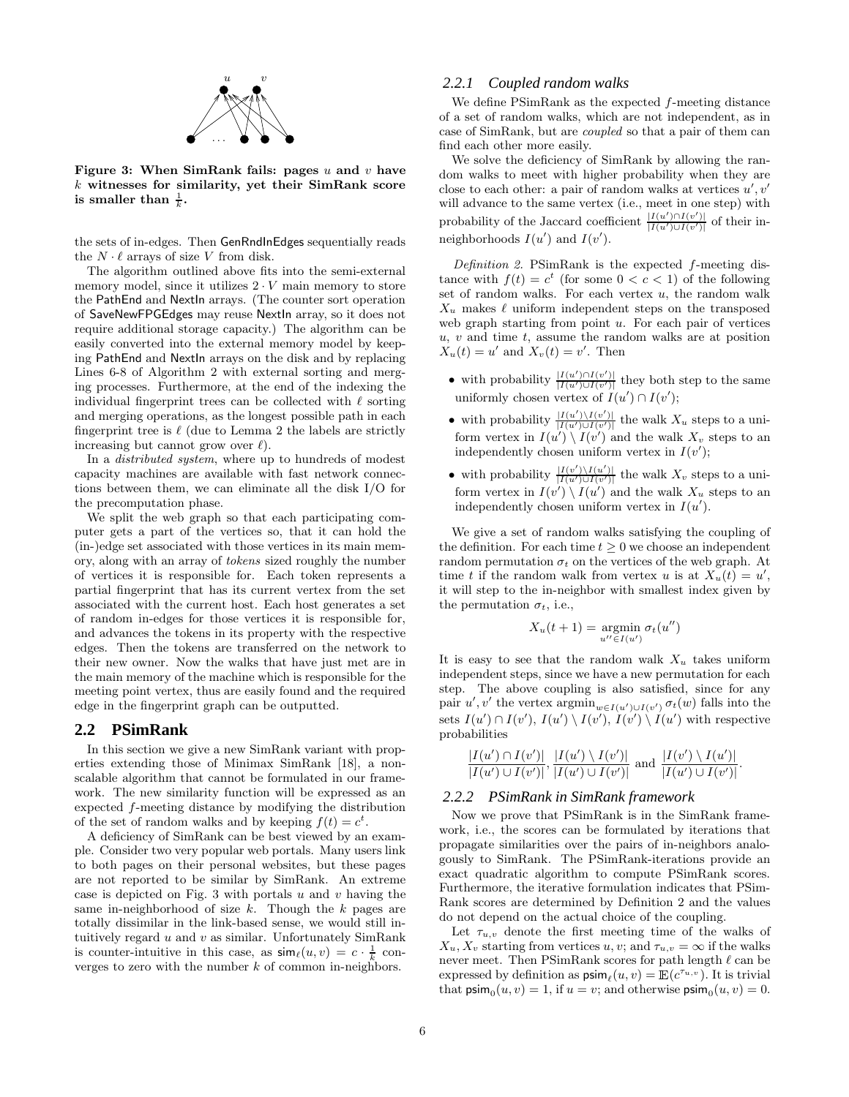

Figure 3: When SimRank fails: pages  $u$  and  $v$  have  $k$  witnesses for similarity, yet their SimRank score is smaller than  $\frac{1}{k}$ .

the sets of in-edges. Then GenRndInEdges sequentially reads the  $N \cdot \ell$  arrays of size V from disk.

The algorithm outlined above fits into the semi-external memory model, since it utilizes  $2 \cdot V$  main memory to store the PathEnd and NextIn arrays. (The counter sort operation of SaveNewFPGEdges may reuse NextIn array, so it does not require additional storage capacity.) The algorithm can be easily converted into the external memory model by keeping PathEnd and NextIn arrays on the disk and by replacing Lines 6-8 of Algorithm 2 with external sorting and merging processes. Furthermore, at the end of the indexing the individual fingerprint trees can be collected with  $\ell$  sorting and merging operations, as the longest possible path in each fingerprint tree is  $\ell$  (due to Lemma 2 the labels are strictly increasing but cannot grow over  $\ell$ .

In a distributed system, where up to hundreds of modest capacity machines are available with fast network connections between them, we can eliminate all the disk I/O for the precomputation phase.

We split the web graph so that each participating computer gets a part of the vertices so, that it can hold the (in-)edge set associated with those vertices in its main memory, along with an array of tokens sized roughly the number of vertices it is responsible for. Each token represents a partial fingerprint that has its current vertex from the set associated with the current host. Each host generates a set of random in-edges for those vertices it is responsible for, and advances the tokens in its property with the respective edges. Then the tokens are transferred on the network to their new owner. Now the walks that have just met are in the main memory of the machine which is responsible for the meeting point vertex, thus are easily found and the required edge in the fingerprint graph can be outputted.

#### **2.2 PSimRank**

In this section we give a new SimRank variant with properties extending those of Minimax SimRank [18], a nonscalable algorithm that cannot be formulated in our framework. The new similarity function will be expressed as an expected f-meeting distance by modifying the distribution of the set of random walks and by keeping  $f(t) = c^t$ .

A deficiency of SimRank can be best viewed by an example. Consider two very popular web portals. Many users link to both pages on their personal websites, but these pages are not reported to be similar by SimRank. An extreme case is depicted on Fig. 3 with portals  $u$  and  $v$  having the same in-neighborhood of size  $k$ . Though the  $k$  pages are totally dissimilar in the link-based sense, we would still intuitively regard  $u$  and  $v$  as similar. Unfortunately SimRank is counter-intuitive in this case, as  $\sinh(u, v) = c \cdot \frac{1}{k}$  converges to zero with the number  $k$  of common in-neighbors.

#### *2.2.1 Coupled random walks*

We define PSimRank as the expected f-meeting distance of a set of random walks, which are not independent, as in case of SimRank, but are coupled so that a pair of them can find each other more easily.

We solve the deficiency of SimRank by allowing the random walks to meet with higher probability when they are close to each other: a pair of random walks at vertices  $u', v'$ will advance to the same vertex (i.e., meet in one step) with probability of the Jaccard coefficient  $\frac{|I(u') \cap I(v')|}{|I(u') \cup I(v')|}$  of their inneighborhoods  $I(u')$  and  $I(v')$ .

Definition 2. PSimRank is the expected f-meeting distance with  $f(t) = c^t$  (for some  $0 < c < 1$ ) of the following set of random walks. For each vertex  $u$ , the random walk  $X_u$  makes  $\ell$  uniform independent steps on the transposed web graph starting from point  $u$ . For each pair of vertices  $u, v$  and time  $t$ , assume the random walks are at position  $X_u(t) = u'$  and  $X_v(t) = v'$ . Then

- with probability  $\frac{|I(u') \cap I(v')|}{|I(u') \cup I(v')|}$  they both step to the same uniformly chosen vertex of  $I(u') \cap I(v')$ ;
- with probability  $\frac{|I(u')\setminus I(v')|}{|I(u')\cup I(v')|}$  the walk  $X_u$  steps to a uniform vertex in  $I(u') \setminus I(v')$  and the walk  $X_v$  steps to an independently chosen uniform vertex in  $I(v')$ ;
- with probability  $\frac{|I(v')\setminus I(u')|}{|I(u')\cup I(v')|}$  the walk  $X_v$  steps to a uniform vertex in  $I(v') \setminus I(u')$  and the walk  $X_u$  steps to an independently chosen uniform vertex in  $I(u')$ .

We give a set of random walks satisfying the coupling of the definition. For each time  $t \geq 0$  we choose an independent random permutation  $\sigma_t$  on the vertices of the web graph. At time t if the random walk from vertex u is at  $X_u(t) = u'$ , it will step to the in-neighbor with smallest index given by the permutation  $\sigma_t$ , i.e.,

$$
X_u(t+1) = \operatorname*{argmin}_{u'' \in I(u')} \sigma_t(u'')
$$

It is easy to see that the random walk  $X_u$  takes uniform independent steps, since we have a new permutation for each step. The above coupling is also satisfied, since for any pair  $u', v'$  the vertex  $\operatorname{argmin}_{w \in I(u') \cup I(v')} \sigma_t(w)$  falls into the sets  $I(u') \cap I(v')$ ,  $I(u') \setminus I(v')$ ,  $I(v') \setminus I(u')$  with respective probabilities

$$
\frac{|I(u') \cap I(v')|}{|I(u') \cup I(v')|}, \frac{|I(u') \setminus I(v')|}{|I(u') \cup I(v')|} \text{ and } \frac{|I(v') \setminus I(u')|}{|I(u') \cup I(v')|}.
$$

#### *2.2.2 PSimRank in SimRank framework*

Now we prove that PSimRank is in the SimRank framework, i.e., the scores can be formulated by iterations that propagate similarities over the pairs of in-neighbors analogously to SimRank. The PSimRank-iterations provide an exact quadratic algorithm to compute PSimRank scores. Furthermore, the iterative formulation indicates that PSim-Rank scores are determined by Definition 2 and the values do not depend on the actual choice of the coupling.

Let  $\tau_{u,v}$  denote the first meeting time of the walks of  $X_u, X_v$  starting from vertices u, v; and  $\tau_{u,v} = \infty$  if the walks never meet. Then PSimRank scores for path length  $\ell$  can be expressed by definition as  $\text{psim}_{\ell}(u, v) = \mathbb{E}(c^{\tau_{u,v}})$ . It is trivial that  $\text{psim}_0(u, v) = 1$ , if  $u = v$ ; and otherwise  $\text{psim}_0(u, v) = 0$ .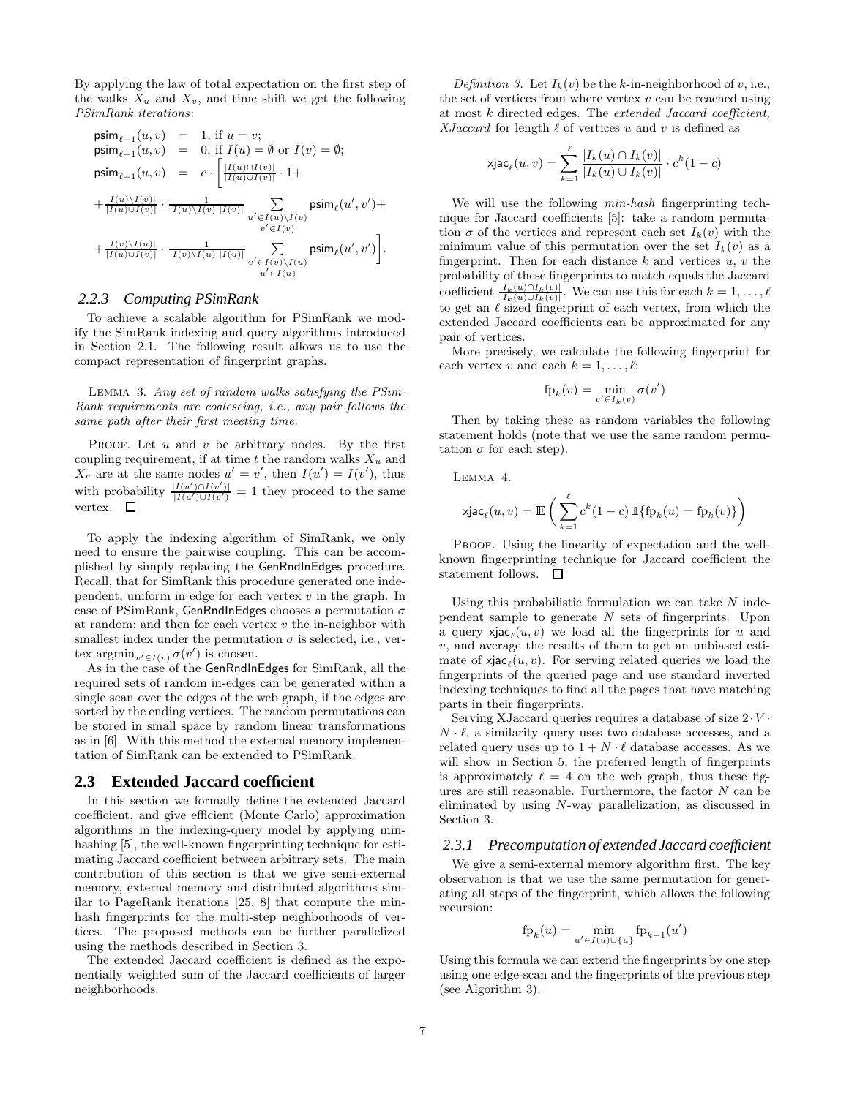By applying the law of total expectation on the first step of the walks  $X_u$  and  $X_v$ , and time shift we get the following PSimRank iterations:

$$
\begin{array}{lcl} \mathsf{psim}_{\ell+1}(u,v) & = & 1, \text{ if } u=v; \\ \mathsf{psim}_{\ell+1}(u,v) & = & 0, \text{ if } I(u) = \emptyset \text{ or } I(v) = \emptyset; \\ \mathsf{psim}_{\ell+1}(u,v) & = & c \cdot \begin{bmatrix} |I(u) \cap I(v)| \\ |I(u) \cup I(v)| \end{bmatrix} \cdot 1 + \\ & & + \frac{|I(u) \backslash I(v)|}{|I(u) \cup I(v)|} \cdot \frac{1}{|I(u) \backslash I(v)| |I(v)|} \sum_{\substack{u' \in I(u) \backslash I(v) \\ v' \in I(v)}} \mathsf{psim}_{\ell}(u',v') + \\ & & + \frac{|I(v) \backslash I(u)|}{|I(u) \cup I(v)|} \cdot \frac{1}{|I(v) \backslash I(u)| |I(u)|} \sum_{\substack{u' \in I(v) \backslash I(u) \\ u' \in I(u)}} \mathsf{psim}_{\ell}(u',v') \end{array} \bigg].
$$

#### *2.2.3 Computing PSimRank*

To achieve a scalable algorithm for PSimRank we modify the SimRank indexing and query algorithms introduced in Section 2.1. The following result allows us to use the compact representation of fingerprint graphs.

Lemma 3. Any set of random walks satisfying the PSim-Rank requirements are coalescing, i.e., any pair follows the same path after their first meeting time.

PROOF. Let  $u$  and  $v$  be arbitrary nodes. By the first coupling requirement, if at time t the random walks  $X_u$  and  $X_v$  are at the same nodes  $u' = v'$ , then  $I(u') = I(v')$ , thus with probability  $\frac{|I(u') \cap I(v')|}{|I(u') \cup I(v')} = 1$  they proceed to the same vertex.  $\square$ 

To apply the indexing algorithm of SimRank, we only need to ensure the pairwise coupling. This can be accomplished by simply replacing the GenRndInEdges procedure. Recall, that for SimRank this procedure generated one independent, uniform in-edge for each vertex  $v$  in the graph. In case of PSimRank, GenRndInEdges chooses a permutation  $\sigma$ at random; and then for each vertex  $v$  the in-neighbor with smallest index under the permutation  $\sigma$  is selected, i.e., vertex  $\operatorname{argmin}_{v' \in I(v)} \sigma(v')$  is chosen.

As in the case of the GenRndInEdges for SimRank, all the required sets of random in-edges can be generated within a single scan over the edges of the web graph, if the edges are sorted by the ending vertices. The random permutations can be stored in small space by random linear transformations as in [6]. With this method the external memory implementation of SimRank can be extended to PSimRank.

#### **2.3 Extended Jaccard coefficient**

In this section we formally define the extended Jaccard coefficient, and give efficient (Monte Carlo) approximation algorithms in the indexing-query model by applying minhashing [5], the well-known fingerprinting technique for estimating Jaccard coefficient between arbitrary sets. The main contribution of this section is that we give semi-external memory, external memory and distributed algorithms similar to PageRank iterations [25, 8] that compute the minhash fingerprints for the multi-step neighborhoods of vertices. The proposed methods can be further parallelized using the methods described in Section 3.

The extended Jaccard coefficient is defined as the exponentially weighted sum of the Jaccard coefficients of larger neighborhoods.

Definition 3. Let  $I_k(v)$  be the k-in-neighborhood of v, i.e., the set of vertices from where vertex  $v$  can be reached using at most k directed edges. The extended Jaccard coefficient, XJaccard for length  $\ell$  of vertices u and v is defined as

$$
\operatorname{xjac}_{\ell}(u,v) = \sum_{k=1}^{\ell} \frac{|I_k(u) \cap I_k(v)|}{|I_k(u) \cup I_k(v)|} \cdot c^k(1-c)
$$

We will use the following *min-hash* fingerprinting technique for Jaccard coefficients [5]: take a random permutation  $\sigma$  of the vertices and represent each set  $I_k(v)$  with the minimum value of this permutation over the set  $I_k(v)$  as a fingerprint. Then for each distance  $k$  and vertices  $u, v$  the probability of these fingerprints to match equals the Jaccard coefficient  $\frac{|I_k(u) \cap I_k(v)|}{|I_k(u) \cup I_k(v)|}$ . We can use this for each  $k = 1, \ldots, \ell$ to get an  $\ell$  sized fingerprint of each vertex, from which the extended Jaccard coefficients can be approximated for any pair of vertices.

More precisely, we calculate the following fingerprint for each vertex v and each  $k = 1, \ldots, \ell$ :

$$
fp_k(v) = \min_{v' \in I_k(v)} \sigma(v')
$$

Then by taking these as random variables the following statement holds (note that we use the same random permutation  $\sigma$  for each step).

Lemma 4.

$$
\mathrm{xjac}_{\ell}(u,v) = \mathbb{E}\left(\sum_{k=1}^{\ell} c^k (1-c) \, \mathbb{1}\{\mathrm{fp}_k(u) = \mathrm{fp}_k(v)\}\right)
$$

PROOF. Using the linearity of expectation and the wellknown fingerprinting technique for Jaccard coefficient the statement follows.  $\square$ 

Using this probabilistic formulation we can take  $N$  independent sample to generate N sets of fingerprints. Upon a query  $x_j$ **ac**<sub> $\ell$ </sub> $(u, v)$  we load all the fingerprints for u and v, and average the results of them to get an unbiased estimate of  $x_j$ **ac**<sub> $\ell$ </sub> $(u, v)$ . For serving related queries we load the fingerprints of the queried page and use standard inverted indexing techniques to find all the pages that have matching parts in their fingerprints.

Serving XJaccard queries requires a database of size  $2 \cdot V$ .  $N \cdot \ell$ , a similarity query uses two database accesses, and a related query uses up to  $1 + N \cdot \ell$  database accesses. As we will show in Section 5, the preferred length of fingerprints is approximately  $\ell = 4$  on the web graph, thus these figures are still reasonable. Furthermore, the factor  $N$  can be eliminated by using N-way parallelization, as discussed in Section 3.

#### *2.3.1 Precomputation of extended Jaccard coefficient*

We give a semi-external memory algorithm first. The key observation is that we use the same permutation for generating all steps of the fingerprint, which allows the following recursion:

$$
fp_k(u) = \min_{u' \in I(u) \cup \{u\}} fp_{k-1}(u')
$$

Using this formula we can extend the fingerprints by one step using one edge-scan and the fingerprints of the previous step (see Algorithm 3).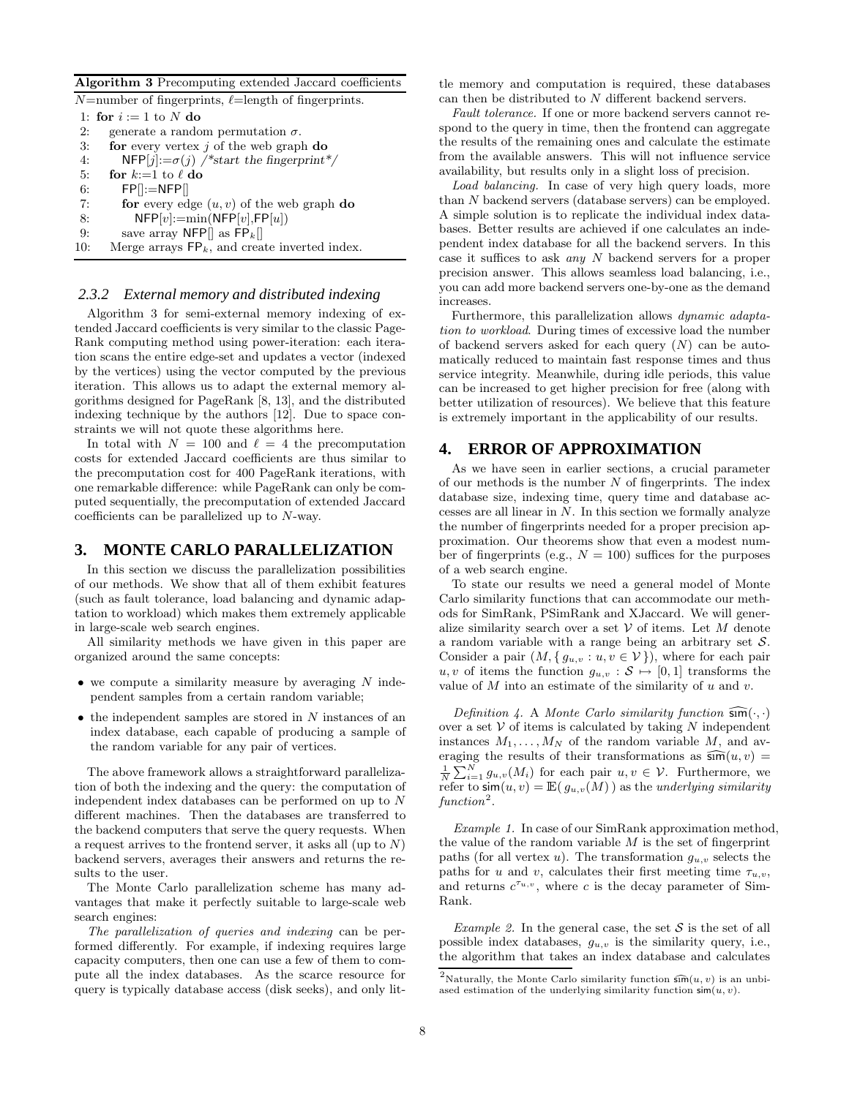Algorithm 3 Precomputing extended Jaccard coefficients

|     | $N$ =number of fingerprints, $\ell$ =length of fingerprints. |
|-----|--------------------------------------------------------------|
|     | 1: for $i := 1$ to N do                                      |
| 2:  | generate a random permutation $\sigma$ .                     |
| 3:  | for every vertex $j$ of the web graph do                     |
| 4:  | $NFP[j] := \sigma(i)$ /*start the fingerprint*/              |
| 5:  | for $k:=1$ to $\ell$ do                                      |
| 6:  | $FPI := NFP$                                                 |
| 7:  | for every edge $(u, v)$ of the web graph do                  |
| 8:  | $NFP[v]:=min(NFP[v], FP[u])$                                 |
| 9:  | save array NFP $\parallel$ as FP <sub>k</sub> $\parallel$    |
| 10: | Merge arrays $\mathsf{FP}_k$ , and create inverted index.    |
|     |                                                              |

#### *2.3.2 External memory and distributed indexing*

Algorithm 3 for semi-external memory indexing of extended Jaccard coefficients is very similar to the classic Page-Rank computing method using power-iteration: each iteration scans the entire edge-set and updates a vector (indexed by the vertices) using the vector computed by the previous iteration. This allows us to adapt the external memory algorithms designed for PageRank [8, 13], and the distributed indexing technique by the authors [12]. Due to space constraints we will not quote these algorithms here.

In total with  $N = 100$  and  $\ell = 4$  the precomputation costs for extended Jaccard coefficients are thus similar to the precomputation cost for 400 PageRank iterations, with one remarkable difference: while PageRank can only be computed sequentially, the precomputation of extended Jaccard coefficients can be parallelized up to N-way.

### **3. MONTE CARLO PARALLELIZATION**

In this section we discuss the parallelization possibilities of our methods. We show that all of them exhibit features (such as fault tolerance, load balancing and dynamic adaptation to workload) which makes them extremely applicable in large-scale web search engines.

All similarity methods we have given in this paper are organized around the same concepts:

- $\bullet$  we compute a similarity measure by averaging N independent samples from a certain random variable;
- $\bullet$  the independent samples are stored in N instances of an index database, each capable of producing a sample of the random variable for any pair of vertices.

The above framework allows a straightforward parallelization of both the indexing and the query: the computation of independent index databases can be performed on up to N different machines. Then the databases are transferred to the backend computers that serve the query requests. When a request arrives to the frontend server, it asks all (up to N) backend servers, averages their answers and returns the results to the user.

The Monte Carlo parallelization scheme has many advantages that make it perfectly suitable to large-scale web search engines:

The parallelization of queries and indexing can be performed differently. For example, if indexing requires large capacity computers, then one can use a few of them to compute all the index databases. As the scarce resource for query is typically database access (disk seeks), and only little memory and computation is required, these databases can then be distributed to  $N$  different backend servers.

Fault tolerance. If one or more backend servers cannot respond to the query in time, then the frontend can aggregate the results of the remaining ones and calculate the estimate from the available answers. This will not influence service availability, but results only in a slight loss of precision.

Load balancing. In case of very high query loads, more than N backend servers (database servers) can be employed. A simple solution is to replicate the individual index databases. Better results are achieved if one calculates an independent index database for all the backend servers. In this case it suffices to ask any N backend servers for a proper precision answer. This allows seamless load balancing, i.e., you can add more backend servers one-by-one as the demand increases.

Furthermore, this parallelization allows dynamic adaptation to workload. During times of excessive load the number of backend servers asked for each query  $(N)$  can be automatically reduced to maintain fast response times and thus service integrity. Meanwhile, during idle periods, this value can be increased to get higher precision for free (along with better utilization of resources). We believe that this feature is extremely important in the applicability of our results.

# **4. ERROR OF APPROXIMATION**

As we have seen in earlier sections, a crucial parameter of our methods is the number  $N$  of fingerprints. The index database size, indexing time, query time and database accesses are all linear in N. In this section we formally analyze the number of fingerprints needed for a proper precision approximation. Our theorems show that even a modest number of fingerprints (e.g.,  $N = 100$ ) suffices for the purposes of a web search engine.

To state our results we need a general model of Monte Carlo similarity functions that can accommodate our methods for SimRank, PSimRank and XJaccard. We will generalize similarity search over a set  $V$  of items. Let M denote a random variable with a range being an arbitrary set S. Consider a pair  $(M, \{ g_{u,v} : u, v \in V \})$ , where for each pair  $u, v$  of items the function  $g_{u,v} : \mathcal{S} \mapsto [0, 1]$  transforms the value of  $M$  into an estimate of the similarity of  $u$  and  $v$ .

Definition 4. A Monte Carlo similarity function  $\widehat{\mathsf{sm}}(\cdot,\cdot)$ over a set  $V$  of items is calculated by taking N independent instances  $M_1, \ldots, M_N$  of the random variable M, and averaging the results of their transformations as  $\widehat{\text{sm}}(u, v)$  =  $\frac{1}{N}\sum_{i=1}^{N} g_{u,v}(M_i)$  for each pair  $u, v \in V$ . Furthermore, we refer to  $\mathsf{sim}(u, v) = \mathbb{E}(\, g_{u, v}(M) \,)$  as the underlying similarity  $function<sup>2</sup>$ .

Example 1. In case of our SimRank approximation method, the value of the random variable  $M$  is the set of fingerprint paths (for all vertex u). The transformation  $g_{u,v}$  selects the paths for u and v, calculates their first meeting time  $\tau_{u,v}$ , and returns  $c^{\tau_{u,v}}$ , where c is the decay parameter of Sim-Rank.

Example 2. In the general case, the set  $S$  is the set of all possible index databases,  $g_{u,v}$  is the similarity query, i.e., the algorithm that takes an index database and calculates

<sup>&</sup>lt;sup>2</sup>Naturally, the Monte Carlo similarity function  $\widehat{\mathsf{sm}}(u, v)$  is an unbiased estimation of the underlying similarity function  $\sin(u, v)$ .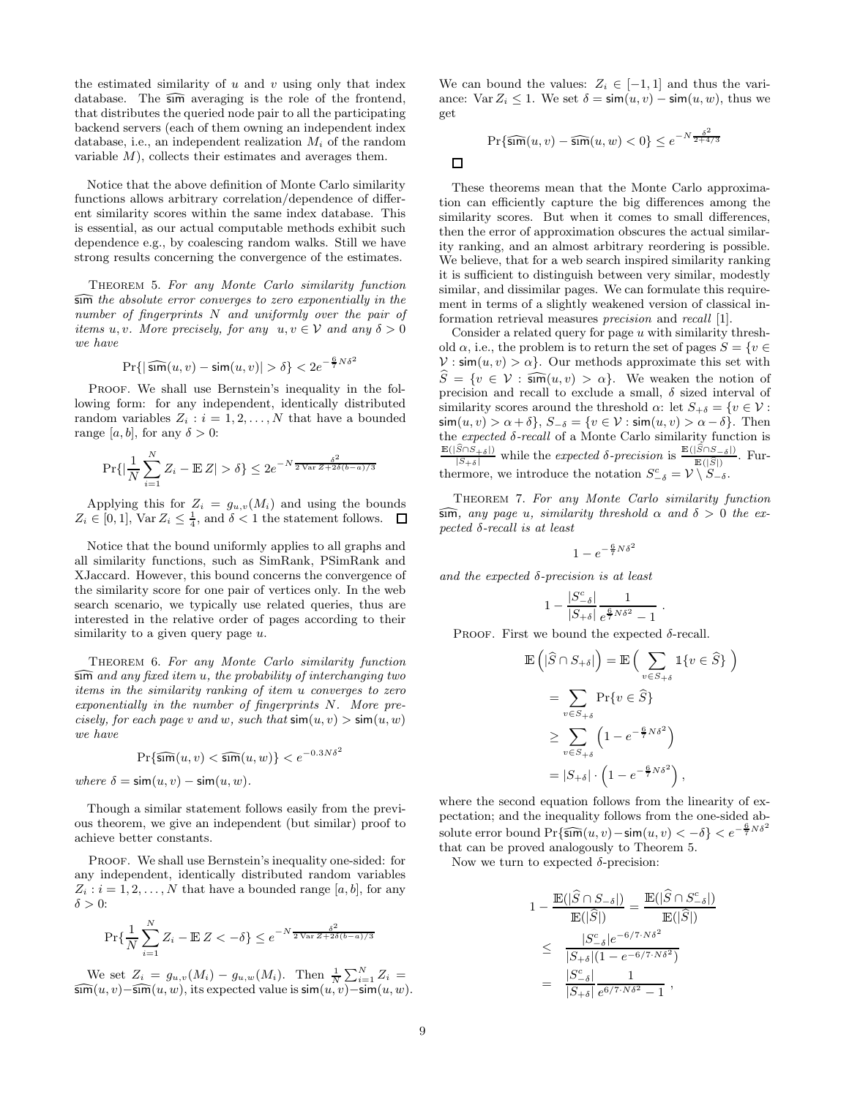the estimated similarity of  $u$  and  $v$  using only that index database. The  $\widehat{\mathsf{sm}}$  averaging is the role of the frontend, that distributes the queried node pair to all the participating backend servers (each of them owning an independent index database, i.e., an independent realization  $M_i$  of the random variable  $M$ ), collects their estimates and averages them.

Notice that the above definition of Monte Carlo similarity functions allows arbitrary correlation/dependence of different similarity scores within the same index database. This is essential, as our actual computable methods exhibit such dependence e.g., by coalescing random walks. Still we have strong results concerning the convergence of the estimates.

THEOREM 5. For any Monte Carlo similarity function  $\widehat{\mathsf{sum}}$  the absolute error converges to zero exponentially in the number of fingerprints N and uniformly over the pair of items u, v. More precisely, for any  $u, v \in V$  and any  $\delta > 0$ we have

$$
\Pr\{|\, \widehat{\mathsf{sim}}(u,v) - \mathsf{sim}(u,v)| > \delta\} < 2e^{-\frac{6}{7}N\delta^2}
$$

PROOF. We shall use Bernstein's inequality in the following form: for any independent, identically distributed random variables  $Z_i : i = 1, 2, ..., N$  that have a bounded range [a, b], for any  $\delta > 0$ :

$$
\Pr\{\left|\frac{1}{N}\sum_{i=1}^{N} Z_i - \mathbb{E} Z\right| > \delta\} \le 2e^{-N\frac{\delta^2}{2\sqrt{\ar{Z} + 2\delta(b-a)/3}}}
$$

Applying this for  $Z_i = g_{u,v}(M_i)$  and using the bounds  $Z_i \in [0,1]$ ,  $\text{Var } Z_i \leq \frac{1}{4}$ , and  $\delta < 1$  the statement follows.

Notice that the bound uniformly applies to all graphs and all similarity functions, such as SimRank, PSimRank and XJaccard. However, this bound concerns the convergence of the similarity score for one pair of vertices only. In the web search scenario, we typically use related queries, thus are interested in the relative order of pages according to their similarity to a given query page  $u$ .

THEOREM 6. For any Monte Carlo similarity function  $\widehat{\mathsf{sum}}$  and any fixed item u, the probability of interchanging two items in the similarity ranking of item u converges to zero exponentially in the number of fingerprints N. More precisely, for each page v and w, such that  $\sin(u, v) > \sin(u, w)$ we have

$$
\Pr\{\widehat{\text{sim}}(u,v) < \widehat{\text{sim}}(u,w)\} < e^{-0.3N\delta^2}
$$

where  $\delta = \sin(u, v) - \sin(u, w)$ .

Though a similar statement follows easily from the previous theorem, we give an independent (but similar) proof to achieve better constants.

PROOF. We shall use Bernstein's inequality one-sided: for any independent, identically distributed random variables  $Z_i : i = 1, 2, \ldots, N$  that have a bounded range [a, b], for any  $\delta > 0$ :

$$
\Pr\{\frac{1}{N}\sum_{i=1}^{N}Z_i - \mathbb{E}\left\{Z < -\delta\right\} \le e^{-N\frac{\delta^2}{2\sqrt{\text{Var}\,Z + 2\delta(b-a)/3}}}
$$

We set  $Z_i = g_{u,v}(M_i) - g_{u,w}(M_i)$ . Then  $\frac{1}{N} \sum_{i=1}^{N} Z_i =$  $\widehat{\textsf{sim}}(u, v)$ − $\widehat{\textsf{sim}}(u, w)$ , its expected value is  $\textsf{sim}(u, v)$ − $\textsf{sim}(u, w)$ .

We can bound the values:  $Z_i \in [-1,1]$  and thus the variance: Var  $Z_i \leq 1$ . We set  $\delta = \sin(u, v) - \sin(u, w)$ , thus we get

$$
\Pr\{\widehat{\text{sum}}(u,v) - \widehat{\text{sum}}(u,w) < 0\} \le e^{-N\frac{\delta^2}{2+4/3}}
$$

 $\Box$ 

These theorems mean that the Monte Carlo approximation can efficiently capture the big differences among the similarity scores. But when it comes to small differences, then the error of approximation obscures the actual similarity ranking, and an almost arbitrary reordering is possible. We believe, that for a web search inspired similarity ranking it is sufficient to distinguish between very similar, modestly similar, and dissimilar pages. We can formulate this requirement in terms of a slightly weakened version of classical information retrieval measures precision and recall [1].

Consider a related query for page  $u$  with similarity threshold  $\alpha$ , i.e., the problem is to return the set of pages  $S = \{v \in$  $V : sim(u, v) > \alpha$ . Our methods approximate this set with  $\widehat{S} = \{v \in \mathcal{V} : \widehat{\text{sim}}(u, v) > \alpha\}.$  We weaken the notion of precision and recall to exclude a small,  $\delta$  sized interval of similarity scores around the threshold  $\alpha$ : let  $S_{+\delta} = \{v \in \mathcal{V}$ :  $\sin(u, v) > \alpha + \delta$ ,  $S_{-\delta} = \{v \in \mathcal{V} : \sin(u, v) > \alpha - \delta\}$ . Then the expected  $\delta$ -recall of a Monte Carlo similarity function is  $\frac{\mathbb{E}(|\widehat{S}\cap S_{+\delta}|)}{|S_{+\delta}|}$  while the expected  $\delta$ -precision is  $\frac{\mathbb{E}(|\widehat{S}\cap S_{-\delta}|)}{\mathbb{E}(|\widehat{S}|)}$ . Furthermore, we introduce the notation  $S_{-\delta}^c = \mathcal{V} \setminus S_{-\delta}$ .

Theorem 7. For any Monte Carlo similarity function  $\widehat{\mathsf{sm}}$ , any page u, similarity threshold  $\alpha$  and  $\delta > 0$  the expected δ-recall is at least

$$
1 - e^{-\frac{6}{7}N\delta^2}
$$

and the expected  $\delta$ -precision is at least

$$
1-\frac{|S^\mathrm{c}_{-\delta}|}{|S_{+\delta}|}\frac{1}{e^{\frac{6}{7}N\delta^2}-1}\ .
$$

PROOF. First we bound the expected  $\delta$ -recall.

$$
\mathbb{E}\left(|\hat{S} \cap S_{+\delta}|\right) = \mathbb{E}\left(\sum_{v \in S_{+\delta}} \mathbb{1}\{v \in \hat{S}\}\right)
$$

$$
= \sum_{v \in S_{+\delta}} \Pr\{v \in \hat{S}\}
$$

$$
\geq \sum_{v \in S_{+\delta}} \left(1 - e^{-\frac{6}{7}N\delta^2}\right)
$$

$$
= |S_{+\delta}| \cdot \left(1 - e^{-\frac{6}{7}N\delta^2}\right),
$$

where the second equation follows from the linearity of expectation; and the inequality follows from the one-sided absolute error bound  $Pr{\{\widehat{\sinh}(u, v) - \sin(u, v) < -\delta\}} < e^{-\frac{\beta}{7}N\delta^2}$ that can be proved analogously to Theorem 5.

Now we turn to expected  $\delta$ -precision:

$$
1 - \frac{\mathbb{E}(|\widehat{S} \cap S_{-\delta}|)}{\mathbb{E}(|\widehat{S}|)} = \frac{\mathbb{E}(|\widehat{S} \cap S_{-\delta}^c|)}{\mathbb{E}(|\widehat{S}|)}
$$
  
\n
$$
\leq \frac{|S_{-\delta}^c|e^{-6/7 \cdot N\delta^2}}{|S_{+\delta}|(1 - e^{-6/7 \cdot N\delta^2})}
$$
  
\n
$$
= \frac{|S_{-\delta}^c|}{|S_{+\delta}|} \frac{1}{e^{6/7 \cdot N\delta^2} - 1},
$$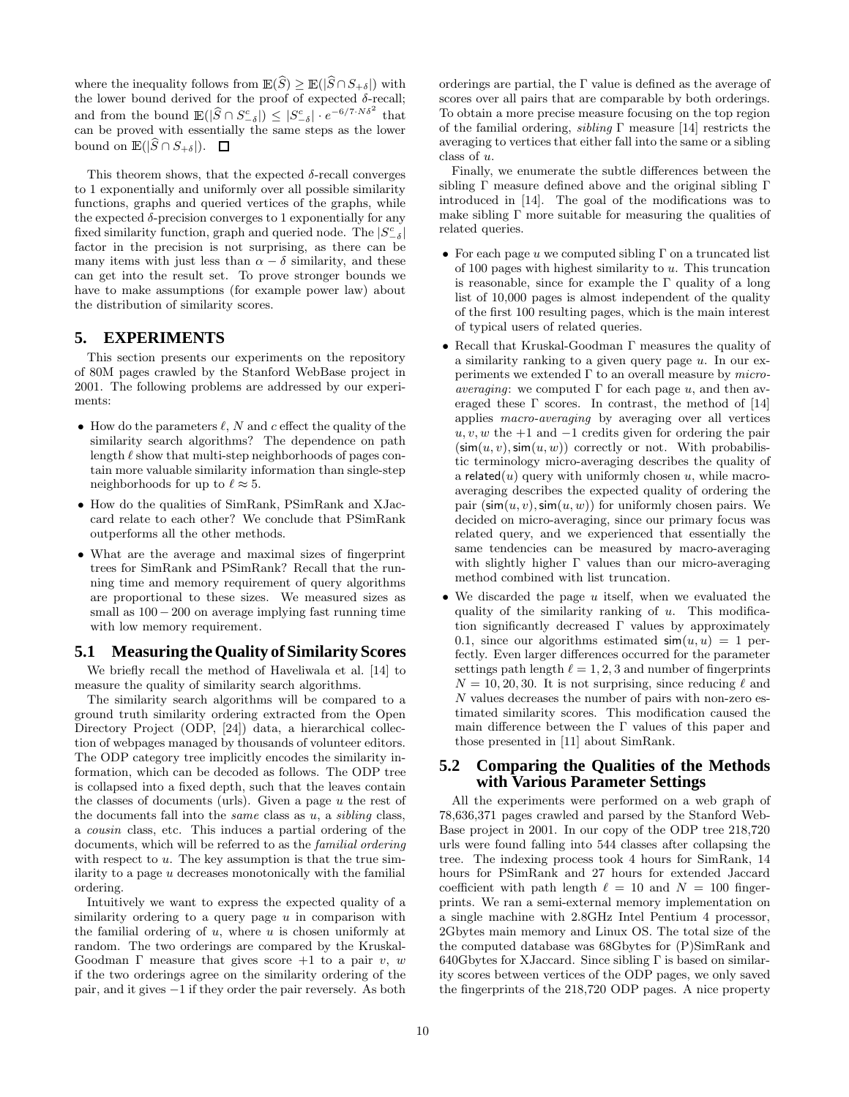where the inequality follows from  $\mathbb{E}(S) \geq \mathbb{E}(|S \cap S_{+\delta}|)$  with the lower bound derived for the proof of expected  $\delta$ -recall; and from the bound  $\mathbb{E}(|\widehat{S} \cap S_{-\delta}^c|) \leq |S_{-\delta}^c| \cdot e^{-6/7 \cdot N \delta^2}$  that can be proved with essentially the same steps as the lower bound on  $\mathbb{E}(|S \cap S_{+\delta}|)$ .  $\Box$ 

This theorem shows, that the expected  $\delta$ -recall converges to 1 exponentially and uniformly over all possible similarity functions, graphs and queried vertices of the graphs, while the expected  $\delta$ -precision converges to 1 exponentially for any fixed similarity function, graph and queried node. The  $|S_{-\delta}^c|$ factor in the precision is not surprising, as there can be many items with just less than  $\alpha - \delta$  similarity, and these can get into the result set. To prove stronger bounds we have to make assumptions (for example power law) about the distribution of similarity scores.

# **5. EXPERIMENTS**

This section presents our experiments on the repository of 80M pages crawled by the Stanford WebBase project in 2001. The following problems are addressed by our experiments:

- How do the parameters  $\ell$ , N and c effect the quality of the similarity search algorithms? The dependence on path length  $\ell$  show that multi-step neighborhoods of pages contain more valuable similarity information than single-step neighborhoods for up to  $\ell \approx 5$ .
- How do the qualities of SimRank, PSimRank and XJaccard relate to each other? We conclude that PSimRank outperforms all the other methods.
- What are the average and maximal sizes of fingerprint trees for SimRank and PSimRank? Recall that the running time and memory requirement of query algorithms are proportional to these sizes. We measured sizes as small as  $100 - 200$  on average implying fast running time with low memory requirement.

# **5.1 Measuring theQuality of Similarity Scores**

We briefly recall the method of Haveliwala et al. [14] to measure the quality of similarity search algorithms.

The similarity search algorithms will be compared to a ground truth similarity ordering extracted from the Open Directory Project (ODP, [24]) data, a hierarchical collection of webpages managed by thousands of volunteer editors. The ODP category tree implicitly encodes the similarity information, which can be decoded as follows. The ODP tree is collapsed into a fixed depth, such that the leaves contain the classes of documents (urls). Given a page  $u$  the rest of the documents fall into the *same* class as  $u$ , a *sibling* class, a cousin class, etc. This induces a partial ordering of the documents, which will be referred to as the familial ordering with respect to  $u$ . The key assumption is that the true similarity to a page  $u$  decreases monotonically with the familial ordering.

Intuitively we want to express the expected quality of a similarity ordering to a query page  $u$  in comparison with the familial ordering of  $u$ , where  $u$  is chosen uniformly at random. The two orderings are compared by the Kruskal-Goodman  $\Gamma$  measure that gives score  $+1$  to a pair v, w if the two orderings agree on the similarity ordering of the pair, and it gives −1 if they order the pair reversely. As both orderings are partial, the Γ value is defined as the average of scores over all pairs that are comparable by both orderings. To obtain a more precise measure focusing on the top region of the familial ordering, *sibling*  $\Gamma$  measure [14] restricts the averaging to vertices that either fall into the same or a sibling class of u.

Finally, we enumerate the subtle differences between the sibling Γ measure defined above and the original sibling Γ introduced in [14]. The goal of the modifications was to make sibling  $\Gamma$  more suitable for measuring the qualities of related queries.

- For each page u we computed sibling  $\Gamma$  on a truncated list of 100 pages with highest similarity to  $u$ . This truncation is reasonable, since for example the  $\Gamma$  quality of a long list of 10,000 pages is almost independent of the quality of the first 100 resulting pages, which is the main interest of typical users of related queries.
- Recall that Kruskal-Goodman Γ measures the quality of a similarity ranking to a given query page  $u$ . In our experiments we extended  $\Gamma$  to an overall measure by *microaveraging*: we computed  $\Gamma$  for each page u, and then averaged these  $\Gamma$  scores. In contrast, the method of [14] applies macro-averaging by averaging over all vertices  $u, v, w$  the +1 and  $-1$  credits given for ordering the pair  $(\mathsf{sim}(u, v), \mathsf{sim}(u, w))$  correctly or not. With probabilistic terminology micro-averaging describes the quality of a related(u) query with uniformly chosen u, while macroaveraging describes the expected quality of ordering the pair  $(\sin(u, v), \sin(u, w))$  for uniformly chosen pairs. We decided on micro-averaging, since our primary focus was related query, and we experienced that essentially the same tendencies can be measured by macro-averaging with slightly higher Γ values than our micro-averaging method combined with list truncation.
- We discarded the page  $u$  itself, when we evaluated the quality of the similarity ranking of  $u$ . This modification significantly decreased Γ values by approximately 0.1, since our algorithms estimated  $\sin(u, u) = 1$  perfectly. Even larger differences occurred for the parameter settings path length  $\ell = 1, 2, 3$  and number of fingerprints  $N = 10, 20, 30$ . It is not surprising, since reducing  $\ell$  and N values decreases the number of pairs with non-zero estimated similarity scores. This modification caused the main difference between the  $\Gamma$  values of this paper and those presented in [11] about SimRank.

# **5.2 Comparing the Qualities of the Methods with Various Parameter Settings**

All the experiments were performed on a web graph of 78,636,371 pages crawled and parsed by the Stanford Web-Base project in 2001. In our copy of the ODP tree 218,720 urls were found falling into 544 classes after collapsing the tree. The indexing process took 4 hours for SimRank, 14 hours for PSimRank and 27 hours for extended Jaccard coefficient with path length  $\ell = 10$  and  $N = 100$  fingerprints. We ran a semi-external memory implementation on a single machine with 2.8GHz Intel Pentium 4 processor, 2Gbytes main memory and Linux OS. The total size of the the computed database was 68Gbytes for (P)SimRank and  $640G$ bytes for XJaccard. Since sibling  $\Gamma$  is based on similarity scores between vertices of the ODP pages, we only saved the fingerprints of the 218,720 ODP pages. A nice property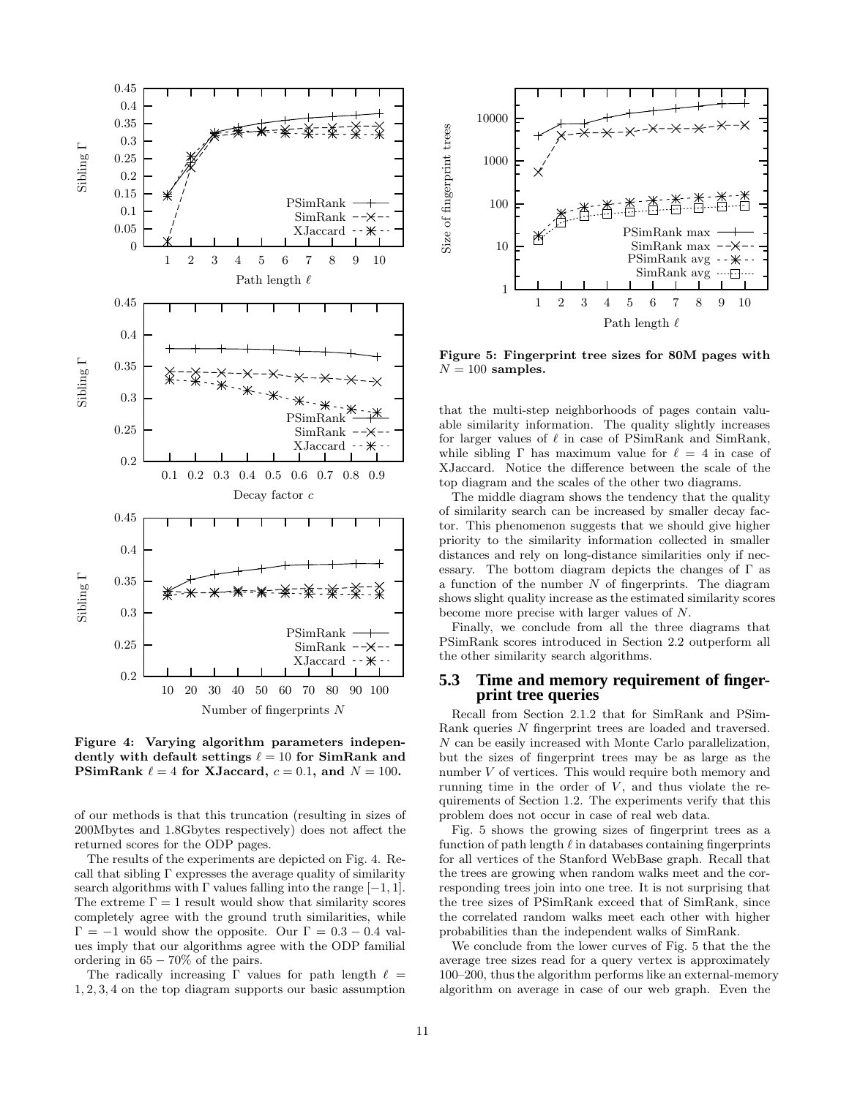

Figure 4: Varying algorithm parameters independently with default settings  $\ell = 10$  for SimRank and PSimRank  $\ell = 4$  for XJaccard,  $c = 0.1$ , and  $N = 100$ .

of our methods is that this truncation (resulting in sizes of 200Mbytes and 1.8Gbytes respectively) does not affect the returned scores for the ODP pages.

The results of the experiments are depicted on Fig. 4. Recall that sibling  $\Gamma$  expresses the average quality of similarity search algorithms with  $\Gamma$  values falling into the range  $[-1, 1]$ . The extreme  $\Gamma = 1$  result would show that similarity scores completely agree with the ground truth similarities, while  $\Gamma = -1$  would show the opposite. Our  $\Gamma = 0.3 - 0.4$  values imply that our algorithms agree with the ODP familial ordering in  $65 - 70\%$  of the pairs.

The radically increasing  $\Gamma$  values for path length  $\ell =$ 1, 2, 3, 4 on the top diagram supports our basic assumption



Figure 5: Fingerprint tree sizes for 80M pages with  $N = 100$  samples.

that the multi-step neighborhoods of pages contain valuable similarity information. The quality slightly increases for larger values of  $\ell$  in case of PSimRank and SimRank, while sibling  $\Gamma$  has maximum value for  $\ell = 4$  in case of XJaccard. Notice the difference between the scale of the top diagram and the scales of the other two diagrams.

The middle diagram shows the tendency that the quality of similarity search can be increased by smaller decay factor. This phenomenon suggests that we should give higher priority to the similarity information collected in smaller distances and rely on long-distance similarities only if necessary. The bottom diagram depicts the changes of  $\Gamma$  as a function of the number  $N$  of fingerprints. The diagram shows slight quality increase as the estimated similarity scores become more precise with larger values of N.

Finally, we conclude from all the three diagrams that PSimRank scores introduced in Section 2.2 outperform all the other similarity search algorithms.

# **5.3 Time and memory requirement of fingerprint tree queries**

Recall from Section 2.1.2 that for SimRank and PSim-Rank queries N fingerprint trees are loaded and traversed. N can be easily increased with Monte Carlo parallelization, but the sizes of fingerprint trees may be as large as the number V of vertices. This would require both memory and running time in the order of  $V$ , and thus violate the requirements of Section 1.2. The experiments verify that this problem does not occur in case of real web data.

Fig. 5 shows the growing sizes of fingerprint trees as a function of path length  $\ell$  in databases containing fingerprints for all vertices of the Stanford WebBase graph. Recall that the trees are growing when random walks meet and the corresponding trees join into one tree. It is not surprising that the tree sizes of PSimRank exceed that of SimRank, since the correlated random walks meet each other with higher probabilities than the independent walks of SimRank.

We conclude from the lower curves of Fig. 5 that the the average tree sizes read for a query vertex is approximately 100–200, thus the algorithm performs like an external-memory algorithm on average in case of our web graph. Even the